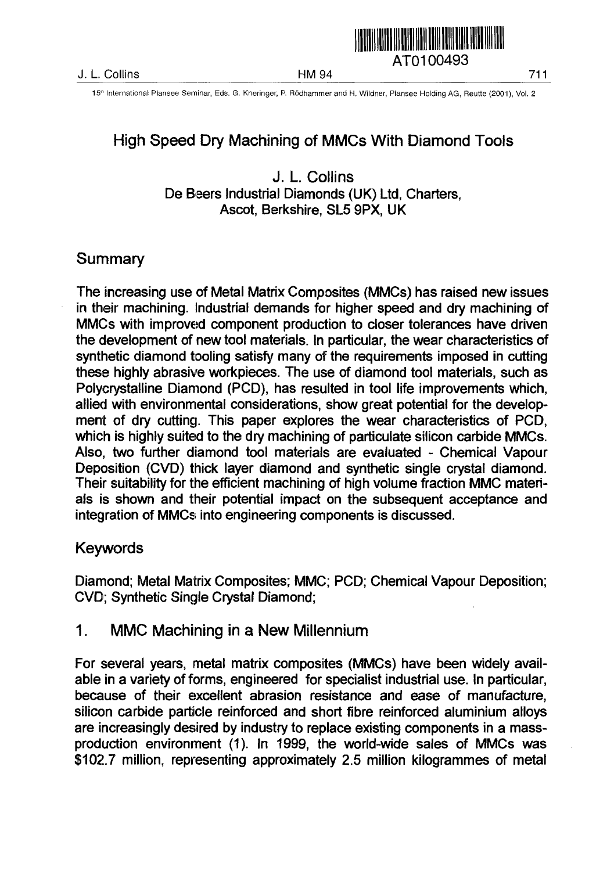

### High Speed Dry Machining of MMCs With Diamond Tools

J. L Collins De Beers Industrial Diamonds (UK) Ltd, Charters, Ascot, Berkshire, SL5 9PX, UK

#### Summary

The increasing use of Metal Matrix Composites (MMCs) has raised new issues in their machining. Industrial demands for higher speed and dry machining of MMCs with improved component production to closer tolerances have driven the development of new tool materials. In particular, the wear characteristics of synthetic diamond tooling satisfy many of the requirements imposed in cutting these highly abrasive workpieces. The use of diamond tool materials, such as Polycrystalline Diamond (PCD), has resulted in tool life improvements which, allied with environmental considerations, show great potential for the development of dry cutting. This paper explores the wear characteristics of PCD, which is highly suited to the dry machining of particulate silicon carbide MMCs. Also, two further diamond tool materials are evaluated - Chemical Vapour Deposition (CVD) thick layer diamond and synthetic single crystal diamond. Their suitability for the efficient machining of high volume fraction MMC materials is shown and their potential impact on the subsequent acceptance and integration of MMCs into engineering components is discussed.

#### Keywords

Diamond; Metal Matrix Composites; MMC; PCD; Chemical Vapour Deposition; CVD; Synthetic Single Crystal Diamond;

1. MMC Machining in a New Millennium

For several years, metal matrix composites (MMCs) have been widely available in a variety of forms, engineered for specialist industrial use. In particular, because of their excellent abrasion resistance and ease of manufacture, silicon carbide particle reinforced and short fibre reinforced aluminium alloys are increasingly desired by industry to replace existing components in a massproduction environment (1). In 1999, the world-wide sales of MMCs was \$102.7 million, representing approximately 2.5 million kilogrammes of metal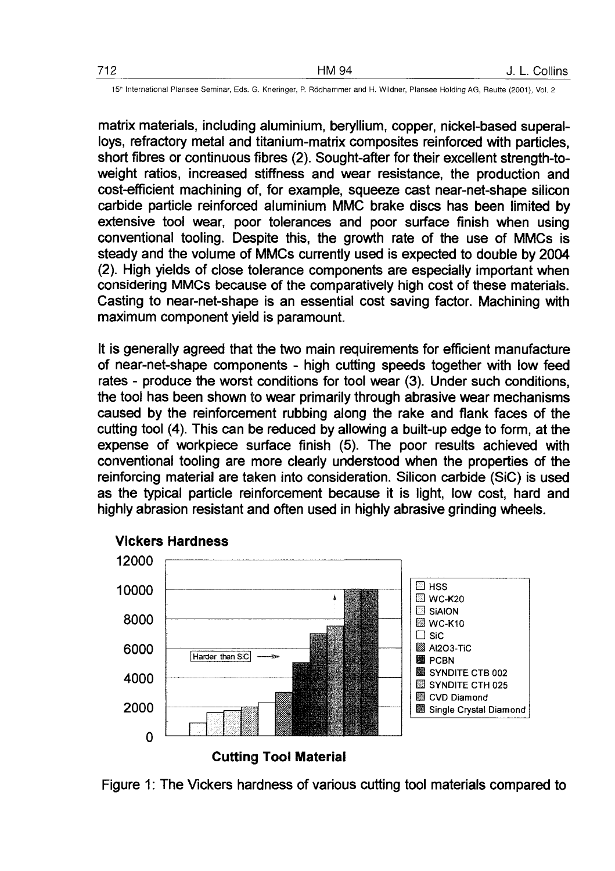matrix materials, including aluminium, beryllium, copper, nickel-based superalloys, refractory metal and titanium-matrix composites reinforced with particles, short fibres or continuous fibres (2). Sought-after for their excellent strength-toweight ratios, increased stiffness and wear resistance, the production and cost-efficient machining of, for example, squeeze cast near-net-shape silicon carbide particle reinforced aluminium MMC brake discs has been limited by extensive tool wear, poor tolerances and poor surface finish when using conventional tooling. Despite this, the growth rate of the use of MMCs is steady and the volume of MMCs currently used is expected to double by 2004 (2). High yields of close tolerance components are especially important when considering MMCs because of the comparatively high cost of these materials. Casting to near-net-shape is an essential cost saving factor. Machining with maximum component yield is paramount.

It is generally agreed that the two main requirements for efficient manufacture of near-net-shape components - high cutting speeds together with low feed rates - produce the worst conditions for tool wear (3). Under such conditions, the tool has been shown to wear primarily through abrasive wear mechanisms caused by the reinforcement rubbing along the rake and flank faces of the cutting tool (4). This can be reduced by allowing a built-up edge to form, at the expense of workpiece surface finish (5). The poor results achieved with conventional tooling are more clearly understood when the properties of the reinforcing material are taken into consideration. Silicon carbide (SiC) is used as the typical particle reinforcement because it is light, low cost, hard and highly abrasion resistant and often used in highly abrasive grinding wheels.



**Vickers Hardness**

Figure 1: The Vickers hardness of various cutting tool materials compared to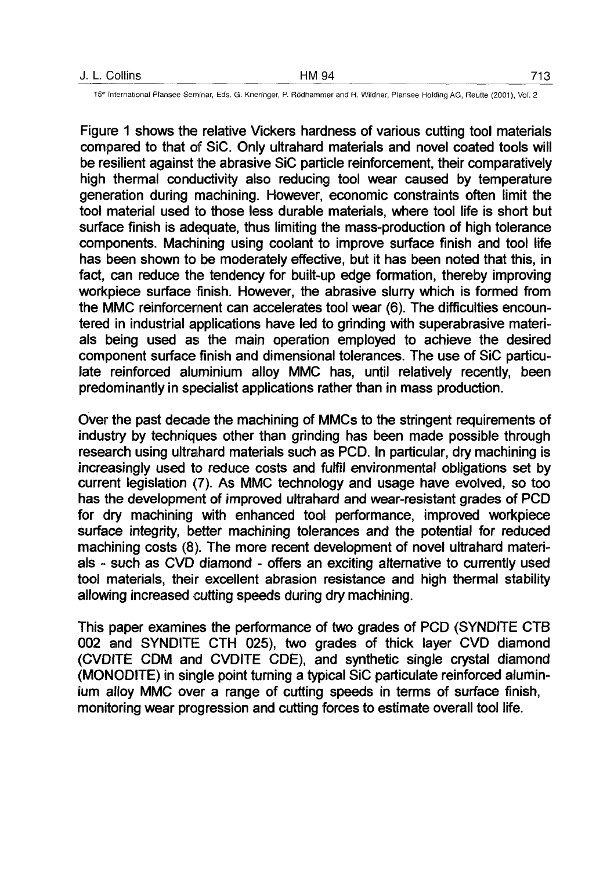| J. L. Collins | HM 94 | 713 |
|---------------|-------|-----|
|               |       |     |

Figure 1 shows the relative Vickers hardness of various cutting tool materials compared to that of SiC. Only ultrahard materials and novel coated tools will be resilient against the abrasive SiC particle reinforcement, their comparatively high thermal conductivity also reducing tool wear caused by temperature generation during machining. However, economic constraints often limit the tool material used to those less durable materials, where tool life is short but surface finish is adequate, thus limiting the mass-production of high tolerance components. Machining using coolant to improve surface finish and tool life has been shown to be moderately effective, but it has been noted that this, in fact, can reduce the tendency for built-up edge formation, thereby improving workpiece surface finish. However, the abrasive slurry which is formed from the MMC reinforcement can accelerates tool wear (6). The difficulties encountered in industrial applications have led to grinding with superabrasive materials being used as the main operation employed to achieve the desired component surface finish and dimensional tolerances. The use of SiC particulate reinforced aluminium alloy MMC has, until relatively recently, been predominantly in specialist applications rather than in mass production.

Over the past decade the machining of MMCs to the stringent requirements of industry by techniques other than grinding has been made possible through research using ultrahard materials such as PCD. In particular, dry machining is increasingly used to reduce costs and fulfil environmental obligations set by current legislation (7). As MMC technology and usage have evolved, so too has the development of improved ultrahard and wear-resistant grades of PCD for dry machining with enhanced tool performance, improved workpiece surface integrity, better machining tolerances and the potential for reduced machining costs (8). The more recent development of novel ultrahard materials - such as CVD diamond - offers an exciting alternative to currently used tool materials, their excellent abrasion resistance and high thermal stability allowing increased cutting speeds during dry machining.

This paper examines the performance of two grades of PCD (SYNDITE CTB 002 and SYNDITE CTH 025), two grades of thick layer CVD diamond (CVDITE CDM and CVDITE CDE), and synthetic single crystal diamond (MONODITE) in single point turning a typical SiC particulate reinforced aluminium alloy MMC over a range of cutting speeds in terms of surface finish, monitoring wear progression and cutting forces to estimate overall tool life.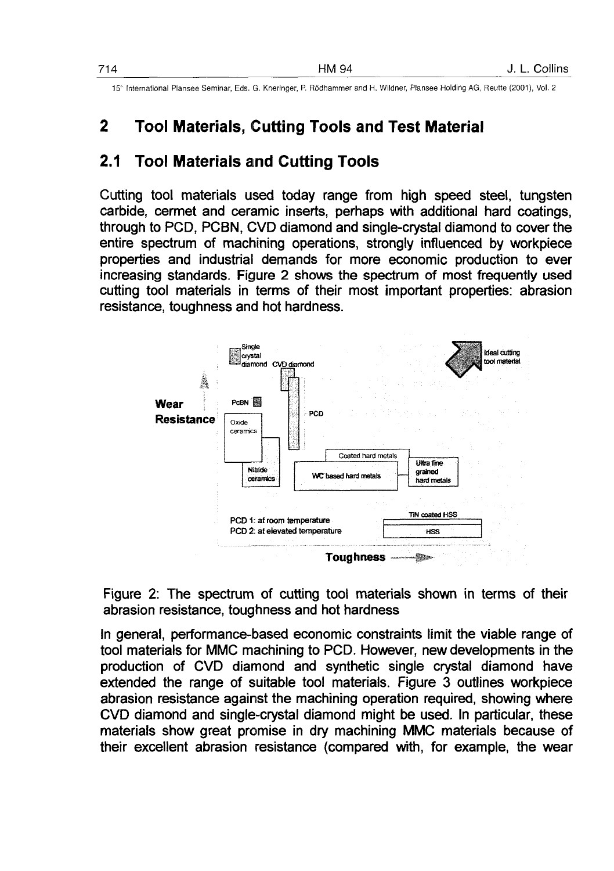# **2 Tool Materials, Cutting Tools and Test Material**

### **2.1 Tool Materials and Cutting Tools**

Cutting tool materials used today range from high speed steel, tungsten carbide, cermet and ceramic inserts, perhaps with additional hard coatings, through to PCD, PCBN, CVD diamond and single-crystal diamond to cover the entire spectrum of machining operations, strongly influenced by workpiece properties and industrial demands for more economic production to ever increasing standards. Figure 2 shows the spectrum of most frequently used cutting tool materials in terms of their most important properties: abrasion resistance, toughness and hot hardness.



Figure 2: The spectrum of cutting tool materials shown in terms of their abrasion resistance, toughness and hot hardness

In general, performance-based economic constraints limit the viable range of tool materials for MMC machining to PCD. However, new developments in the production of CVD diamond and synthetic single crystal diamond have extended the range of suitable tool materials. Figure 3 outlines workpiece abrasion resistance against the machining operation required, showing where CVD diamond and single-crystal diamond might be used. In particular, these materials show great promise in dry machining MMC materials because of their excellent abrasion resistance (compared with, for example, the wear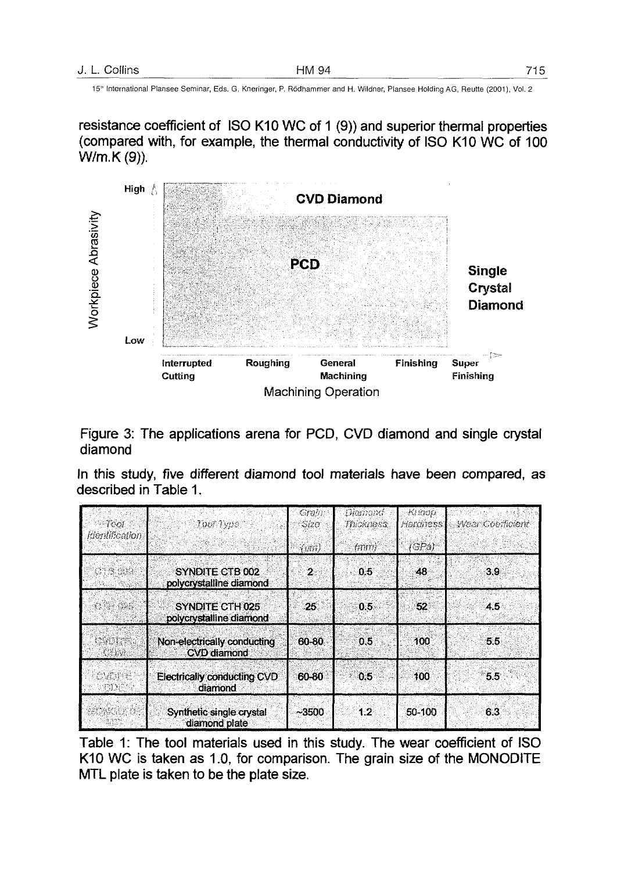resistance coefficient of ISO K10 WC of 1 (9)) and superior thermal properties (compared with, for example, the thermal conductivity of ISO K10 WC of 100 W/m.K(9)).



Figure 3: The applications arena for PCD, CVD diamond and single crystal diamond

In this study, five different diamond tool materials have been compared, as described in Table 1.

| Teor.<br>fdentification    | $70077$ $400$                                     | Grai<br>Sizo | Diamand:<br>Thickness | Kinoa<br>Handriess: | Weer Coefficient |
|----------------------------|---------------------------------------------------|--------------|-----------------------|---------------------|------------------|
|                            | (am)                                              | (mm)         | (GPa)                 |                     |                  |
| 3748 (2022                 | SYNDITE CTB 002<br>polycrystalline diamond        | $\mathbf{2}$ | 0.5                   | 48                  | 3.9              |
| $-13.55$                   | SYNDITE CTH 025<br>polycrystalline diamond        | 25           | $0.5 -$               | -52                 | $4.5^{\circ}$    |
| <b>MOUTH</b>               | Non-electrically conducting<br><b>CVD</b> diamond | 60-80        | 0.5                   | 100                 | 5.5              |
| <b>OVERE</b><br><b>FIN</b> | Electrically conducting CVD<br>diamond            | 60-80        | 0.5                   | 100                 | 5.5              |
|                            | Synthetic single crystal<br>diamond plate         | ~13500       | 12                    | 50-100              | 6.3              |

Table 1: The tool materials used in this study. The wear coefficient of ISO K10 WC is taken as 1.0, for comparison. The grain size of the MONODITE MTL plate is taken to be the plate size.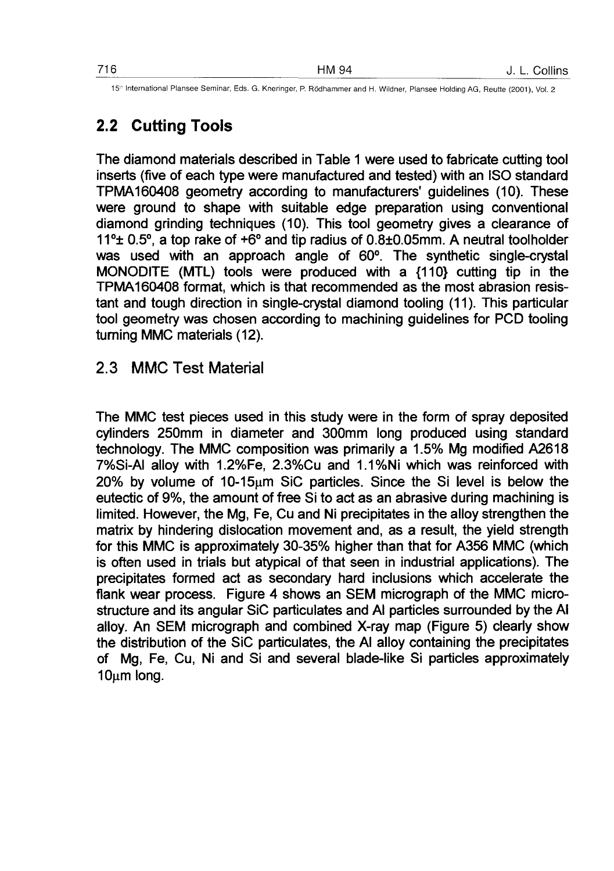# 2.2 Cutting Tools

The diamond materials described in Table 1 were used to fabricate cutting tool inserts (five of each type were manufactured and tested) with an ISO standard TPMA160408 geometry according to manufacturers' guidelines (10). These were ground to shape with suitable edge preparation using conventional diamond grinding techniques (10). This tool geometry gives a clearance of 11°± 0.5°, a top rake of +6° and tip radius of 0.8±0.05mm. A neutral toolholder was used with an approach angle of 60°. The synthetic single-crystal MONODITE (MTL) tools were produced with a {110} cutting tip in the TPMA160408 format, which is that recommended as the most abrasion resistant and tough direction in single-crystal diamond tooling (11). This particular tool geometry was chosen according to machining guidelines for PCD tooling turning MMC materials (12).

#### 2.3 MMC Test Material

The MMC test pieces used in this study were in the form of spray deposited cylinders 250mm in diameter and 300mm long produced using standard technology. The MMC composition was primarily a 1.5% Mg modified A2618 7%Si-AI alloy with 1.2%Fe, 2.3%Cu and 1.1 %Ni which was reinforced with  $20\%$  by volume of 10-15 $\mu$ m SiC particles. Since the Si level is below the eutectic of 9%, the amount of free Si to act as an abrasive during machining is limited. However, the Mg, Fe, Cu and Ni precipitates in the alloy strengthen the matrix by hindering dislocation movement and, as a result, the yield strength for this MMC is approximately 30-35% higher than that for A356 MMC (which is often used in trials but atypical of that seen in industrial applications). The precipitates formed act as secondary hard inclusions which accelerate the flank wear process. Figure 4 shows an SEM micrograph of the MMC microstructure and its angular SiC particulates and Al particles surrounded by the Al alloy. An SEM micrograph and combined X-ray map (Figure 5) clearly show the distribution of the SiC particulates, the Al alloy containing the precipitates of Mg, Fe, Cu, Ni and Si and several blade-like Si particles approximately 10um long.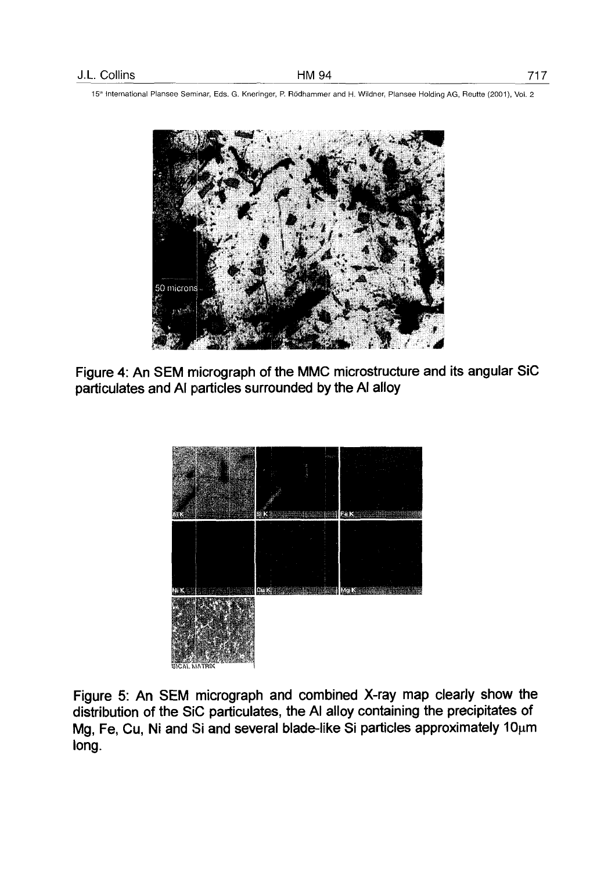

Figure 4: An SEM micrograph of the MMC microstructure and its angular SiC particulates and Al particles surrounded by the Al alloy



Figure 5: An SEM micrograph and combined X-ray map clearly show the distribution of the SiC particulates, the Al alloy containing the precipitates of Mg, Fe, Cu, Ni and Si and several blade-like Si particles approximately  $10\mu m$ long.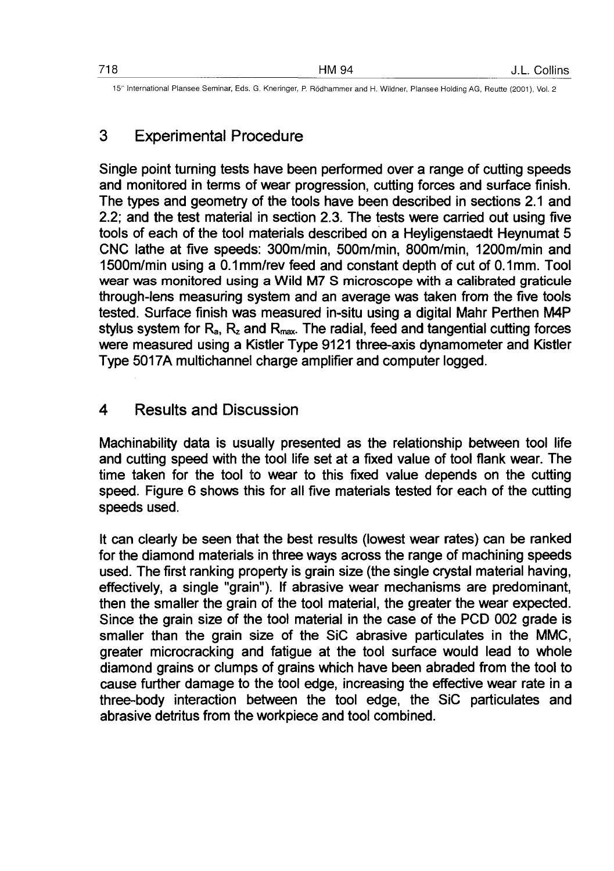## 3 Experimental Procedure

Single point turning tests have been performed over a range of cutting speeds and monitored in terms of wear progression, cutting forces and surface finish. The types and geometry of the tools have been described in sections 2.1 and 2.2; and the test material in section 2.3. The tests were carried out using five tools of each of the tool materials described on a Heyligenstaedt Heynumat 5 CNC lathe at five speeds: 300m/min, 500m/min, 800m/min, 1200m/min and 1500m/min using a 0.1 mm/rev feed and constant depth of cut of 0.1mm. Tool wear was monitored using a Wild M7 S microscope with a calibrated graticule through-lens measuring system and an average was taken from the five tools tested. Surface finish was measured in-situ using a digital Mahr Perthen M4P stylus system for  $R_a$ ,  $R_z$  and  $R_{max}$ . The radial, feed and tangential cutting forces were measured using a Kistler Type 9121 three-axis dynamometer and Kistler Type 5017A multichannel charge amplifier and computer logged.

#### 4 Results and Discussion

Machinability data is usually presented as the relationship between tool life and cutting speed with the tool life set at a fixed value of tool flank wear. The time taken for the tool to wear to this fixed value depends on the cutting speed. Figure 6 shows this for all five materials tested for each of the cutting speeds used.

It can clearly be seen that the best results (lowest wear rates) can be ranked for the diamond materials in three ways across the range of machining speeds used. The first ranking property is grain size (the single crystal material having, effectively, a single "grain"). If abrasive wear mechanisms are predominant, then the smaller the grain of the tool material, the greater the wear expected. Since the grain size of the tool material in the case of the PCD 002 grade is smaller than the grain size of the SiC abrasive particulates in the MMC, greater microcracking and fatigue at the tool surface would lead to whole diamond grains or clumps of grains which have been abraded from the tool to cause further damage to the tool edge, increasing the effective wear rate in a three-body interaction between the tool edge, the SiC particulates and abrasive detritus from the workpiece and tool combined.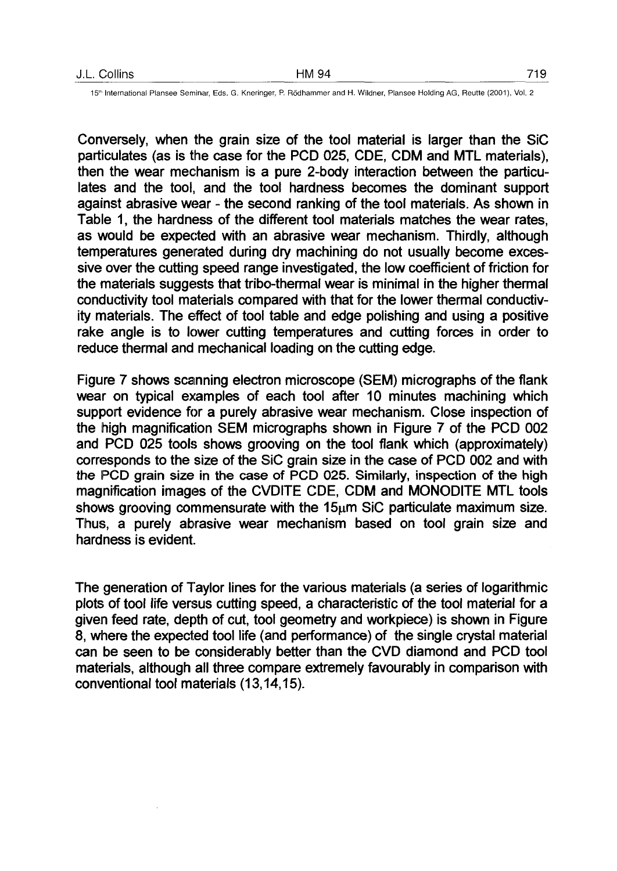Conversely, when the grain size of the tool material is larger than the SiC particulates (as is the case for the PCD 025, CDE, CDM and MTL materials), then the wear mechanism is a pure 2-body interaction between the particulates and the tool, and the tool hardness becomes the dominant support against abrasive wear - the second ranking of the tool materials. As shown in Table 1, the hardness of the different tool materials matches the wear rates, as would be expected with an abrasive wear mechanism. Thirdly, although temperatures generated during dry machining do not usually become excessive over the cutting speed range investigated, the low coefficient of friction for the materials suggests that tribo-thermal wear is minimal in the higher thermal conductivity tool materials compared with that for the lower thermal conductivity materials. The effect of tool table and edge polishing and using a positive rake angle is to lower cutting temperatures and cutting forces in order to reduce thermal and mechanical loading on the cutting edge.

Figure 7 shows scanning electron microscope (SEM) micrographs of the flank wear on typical examples of each tool after 10 minutes machining which support evidence for a purely abrasive wear mechanism. Close inspection of the high magnification SEM micrographs shown in Figure 7 of the PCD 002 and PCD 025 tools shows grooving on the tool flank which (approximately) corresponds to the size of the SiC grain size in the case of PCD 002 and with the PCD grain size in the case of PCD 025. Similarly, inspection of the high magnification images of the CVDITE CDE, CDM and MONODITE MTL tools shows grooving commensurate with the  $15<sub>u</sub>$ m SiC particulate maximum size. Thus, a purely abrasive wear mechanism based on tool grain size and hardness is evident.

The generation of Taylor lines for the various materials (a series of logarithmic plots of tool life versus cutting speed, a characteristic of the tool material for a given feed rate, depth of cut, tool geometry and workpiece) is shown in Figure 8, where the expected tool life (and performance) of the single crystal material can be seen to be considerably better than the CVD diamond and PCD tool materials, although all three compare extremely favourably in comparison with conventional tool materials (13,14,15).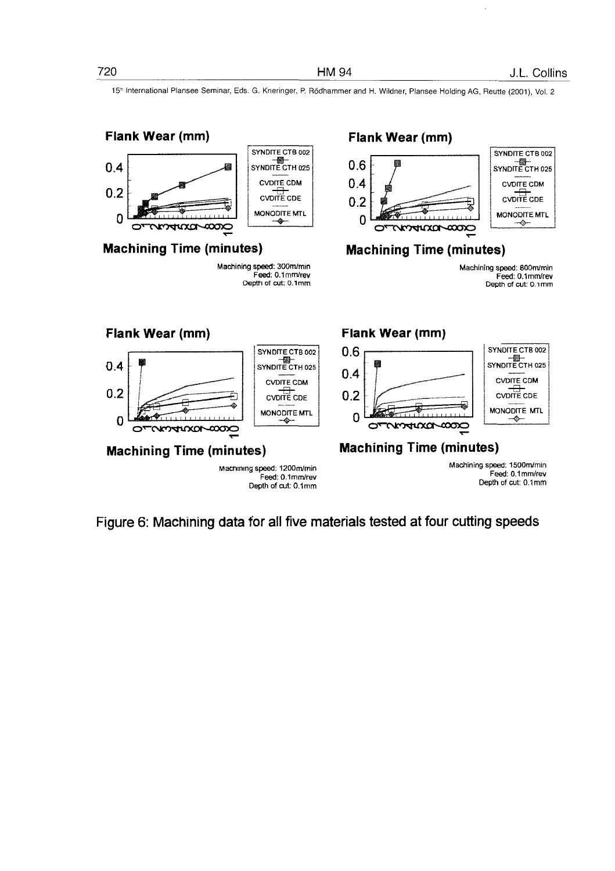

Figure 6: Machining data for all five materials tested at four cutting speeds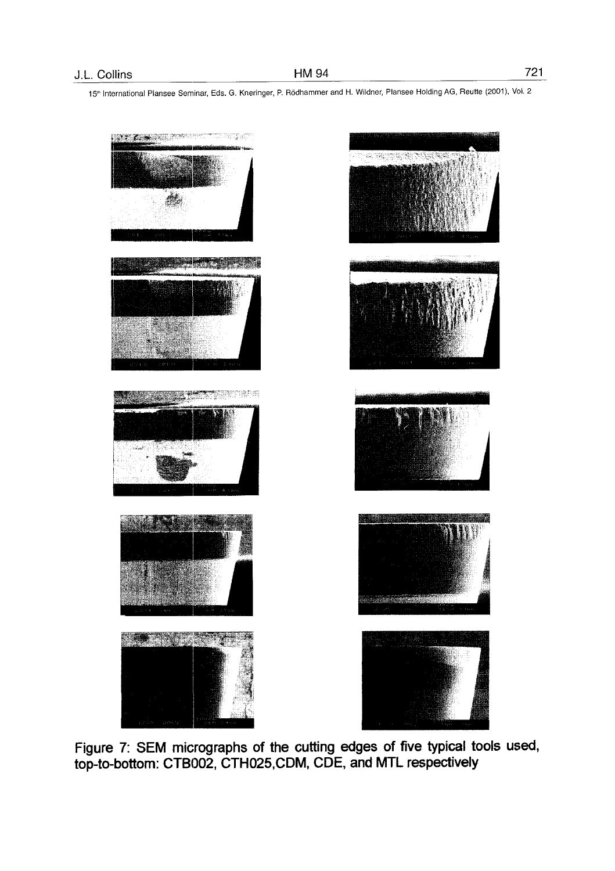

Figure 7: SEM micrographs of the cutting edges of five typical tools used, top-to-bottom: CTB002, CTH025.CDM, CDE, and MTL respectively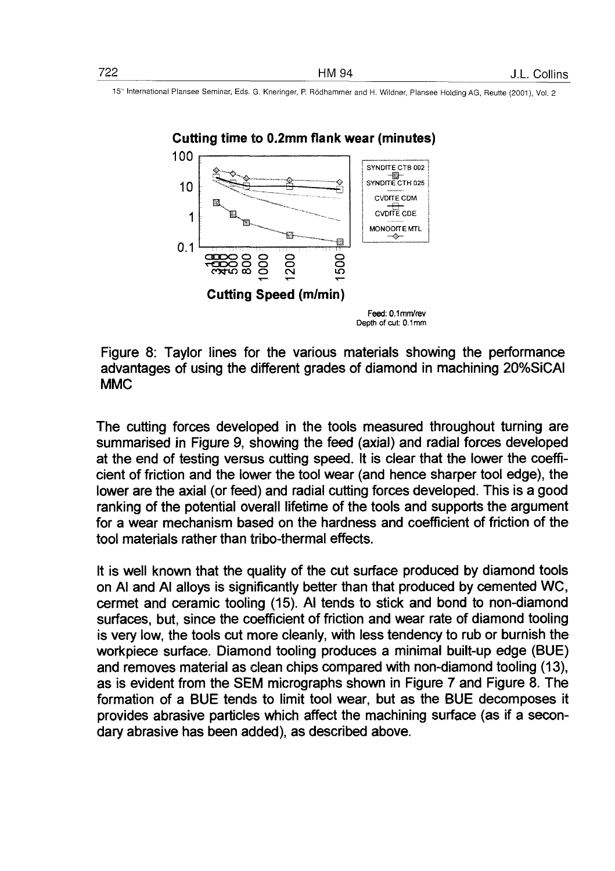

Figure 8: Taylor lines for the various materials showing the performance advantages of using the different grades of diamond in machining 20%SiCAI MMC

The cutting forces developed in the tools measured throughout turning are summarised in Figure 9, showing the feed (axial) and radial forces developed at the end of testing versus cutting speed. It is clear that the lower the coefficient of friction and the lower the tool wear (and hence sharper tool edge), the lower are the axial (or feed) and radial cutting forces developed. This is a good ranking of the potential overall lifetime of the tools and supports the argument for a wear mechanism based on the hardness and coefficient of friction of the tool materials rather than tribo-thermal effects.

It is well known that the quality of the cut surface produced by diamond tools on Al and Al alloys is significantly better than that produced by cemented WC, cermet and ceramic tooling (15). Al tends to stick and bond to non-diamond surfaces, but, since the coefficient of friction and wear rate of diamond tooling is very low, the tools cut more cleanly, with less tendency to rub or burnish the workpiece surface. Diamond tooling produces a minimal built-up edge (BUE) and removes material as clean chips compared with non-diamond tooling (13), as is evident from the SEM micrographs shown in Figure 7 and Figure 8. The formation of a BUE tends to limit tool wear, but as the BUE decomposes it provides abrasive particles which affect the machining surface (as if a secondary abrasive has been added), as described above.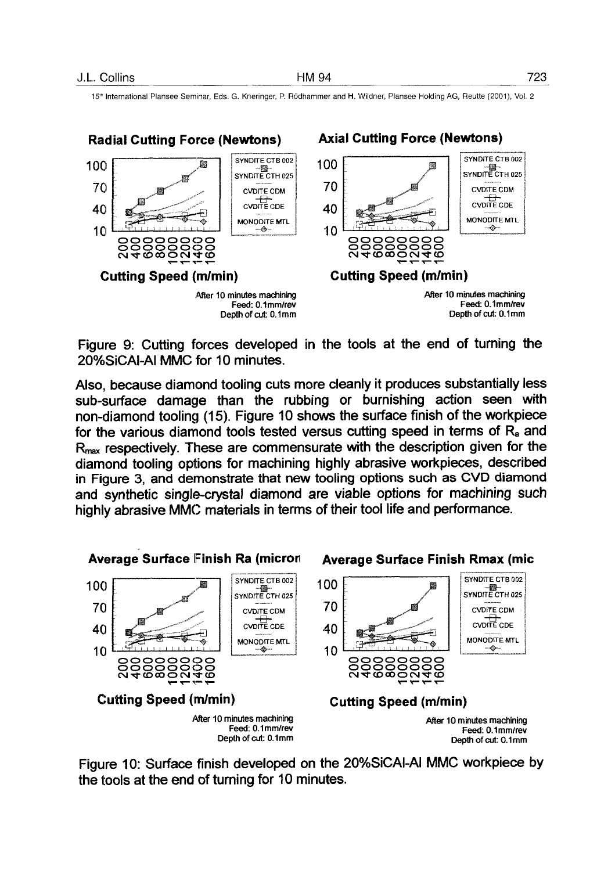

Figure 9: Cutting forces developed in the tools at the end of turning the 20%SiCAI-AI MMC for 10 minutes.

Also, because diamond tooling cuts more cleanly it produces substantially less sub-surface damage than the rubbing or burnishing action seen with non-diamond tooling (15). Figure 10 shows the surface finish of the workpiece for the various diamond tools tested versus cutting speed in terms of  $R<sub>a</sub>$  and R<sub>max</sub> respectively. These are commensurate with the description given for the diamond tooling options for machining highly abrasive workpieces, described in Figure 3, and demonstrate that new tooling options such as CVD diamond and synthetic single-crystal diamond are viable options for machining such highly abrasive MMC materials in terms of their tool life and performance.



Figure 10: Surface finish developed on the 20%SiCAI-AI MMC workpiece by the tools at the end of turning for 10 minutes.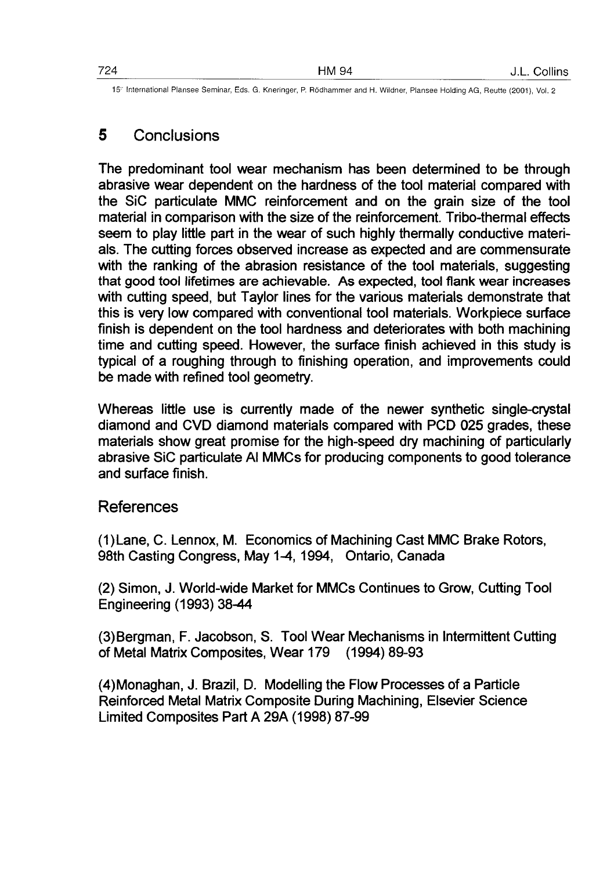### 5 Conclusions

The predominant tool wear mechanism has been determined to be through abrasive wear dependent on the hardness of the tool material compared with the SiC particulate MMC reinforcement and on the grain size of the tool material in comparison with the size of the reinforcement. Tribo-thermal effects seem to play little part in the wear of such highly thermally conductive materials. The cutting forces observed increase as expected and are commensurate with the ranking of the abrasion resistance of the tool materials, suggesting that good tool lifetimes are achievable. As expected, tool flank wear increases with cutting speed, but Taylor lines for the various materials demonstrate that this is very low compared with conventional tool materials. Workpiece surface finish is dependent on the tool hardness and deteriorates with both machining time and cutting speed. However, the surface finish achieved in this study is typical of a roughing through to finishing operation, and improvements could be made with refined tool geometry.

Whereas little use is currently made of the newer synthetic single-crystal diamond and CVD diamond materials compared with PCD 025 grades, these materials show great promise for the high-speed dry machining of particularly abrasive SiC particulate Al MMCs for producing components to good tolerance and surface finish.

### References

(1)Lane, C. Lennox, M. Economics of Machining Cast MMC Brake Rotors, 98th Casting Congress, May 1-4, 1994, Ontario, Canada

(2) Simon, J. World-wide Market for MMCs Continues to Grow, Cutting Tool Engineering (1993) 38-44

(3) Bergman, F. Jacobson, S. Tool Wear Mechanisms in Intermittent Cutting of Metal Matrix Composites, Wear 179 (1994) 89-93

(4)Monaghan, J. Brazil, D. Modelling the Flow Processes of a Particle Reinforced Metal Matrix Composite During Machining, Elsevier Science Limited Composites Part A 29A (1998) 87-99